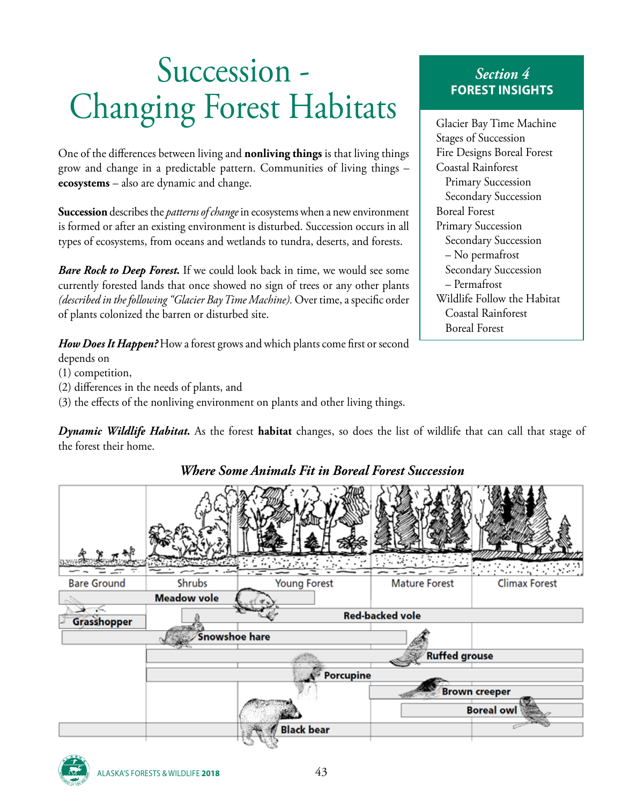# Succession - Changing Forest Habitats

One of the differences between living and **nonliving things** is that living things grow and change in a predictable pattern. Communities of living things – **ecosystems** – also are dynamic and change.

**Succession** describes the *patterns of change* in ecosystems when a new environment is formed or after an existing environment is disturbed. Succession occurs in all types of ecosystems, from oceans and wetlands to tundra, deserts, and forests.

*Bare Rock to Deep Forest.* If we could look back in time, we would see some currently forested lands that once showed no sign of trees or any other plants *(described in the following "Glacier Bay Time Machine).* Over time, a specific order of plants colonized the barren or disturbed site.

*How Does It Happen?* How a forest grows and which plants come first or second depends on

- (1) competition,
- (2) differences in the needs of plants, and
- (3) the effects of the nonliving environment on plants and other living things.

*Dynamic Wildlife Habitat.* As the forest **habitat** changes, so does the list of wildlife that can call that stage of the forest their home.



# *Where Some Animals Fit in Boreal Forest Succession*

*Section 4* **FOREST INSIGHTS**

Glacier Bay Time Machine Stages of Succession Fire Designs Boreal Forest Coastal Rainforest Primary Succession Secondary Succession Boreal Forest Primary Succession Secondary Succession – No permafrost Secondary Succession – Permafrost Wildlife Follow the Habitat Coastal Rainforest Boreal Forest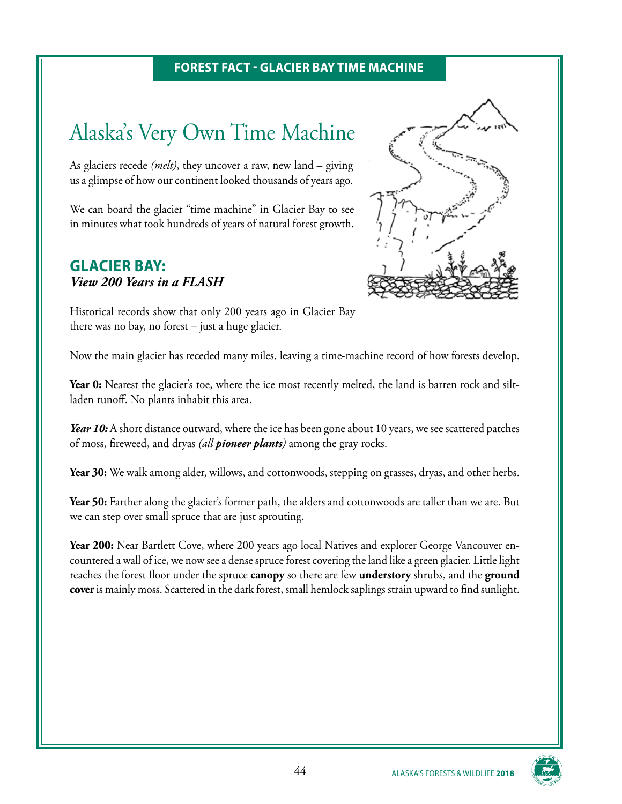#### **FOREST FACT - GLACIER BAY TIME MACHINE**

# Alaska's Very Own Time Machine

As glaciers recede *(melt)*, they uncover a raw, new land – giving us a glimpse of how our continent looked thousands of years ago.

We can board the glacier "time machine" in Glacier Bay to see in minutes what took hundreds of years of natural forest growth.

### **GLACIER BAY:** *View 200 Years in a FLASH*



Historical records show that only 200 years ago in Glacier Bay there was no bay, no forest – just a huge glacier.

Now the main glacier has receded many miles, leaving a time-machine record of how forests develop.

Year 0: Nearest the glacier's toe, where the ice most recently melted, the land is barren rock and siltladen runoff. No plants inhabit this area.

Year 10: A short distance outward, where the ice has been gone about 10 years, we see scattered patches of moss, fireweed, and dryas *(all pioneer plants)* among the gray rocks.

**Year 30:** We walk among alder, willows, and cottonwoods, stepping on grasses, dryas, and other herbs.

Year 50: Farther along the glacier's former path, the alders and cottonwoods are taller than we are. But we can step over small spruce that are just sprouting.

**Year 200:** Near Bartlett Cove, where 200 years ago local Natives and explorer George Vancouver encountered a wall of ice, we now see a dense spruce forest covering the land like a green glacier. Little light reaches the forest floor under the spruce **canopy** so there are few **understory** shrubs, and the **ground cover** is mainly moss. Scattered in the dark forest, small hemlock saplings strain upward to find sunlight.

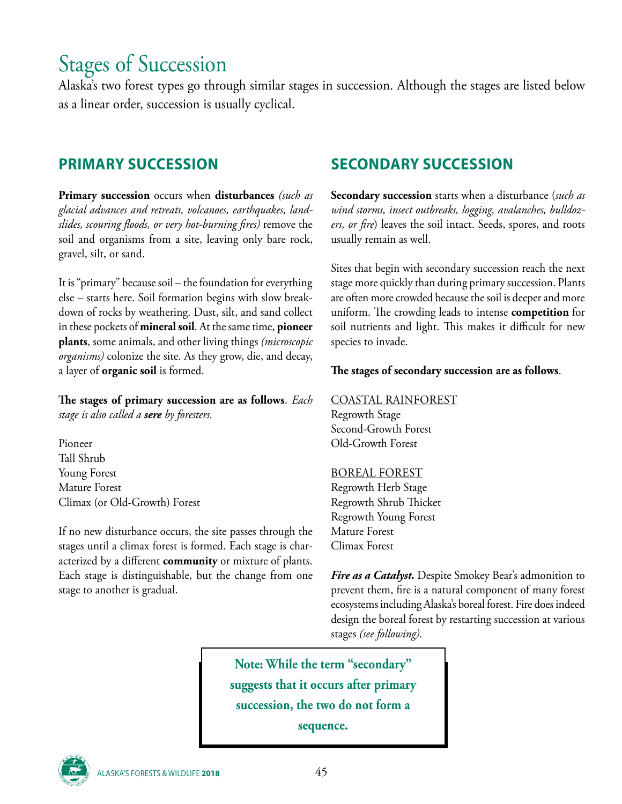# Stages of Succession

Alaska's two forest types go through similar stages in succession. Although the stages are listed below as a linear order, succession is usually cyclical.

## **PRIMARY SUCCESSION**

**Primary succession** occurs when **disturbances** *(such as glacial advances and retreats, volcanoes, earthquakes, landslides, scouring floods, or very hot-burning fires)* remove the soil and organisms from a site, leaving only bare rock, gravel, silt, or sand.

It is "primary" because soil – the foundation for everything else – starts here. Soil formation begins with slow breakdown of rocks by weathering. Dust, silt, and sand collect in these pockets of **mineral soil**. At the same time, **pioneer plants**, some animals, and other living things *(microscopic organisms)* colonize the site. As they grow, die, and decay, a layer of **organic soil** is formed.

**The stages of primary succession are as follows**. *Each stage is also called a sere by foresters.*

Pioneer Tall Shrub Young Forest Mature Forest Climax (or Old-Growth) Forest

If no new disturbance occurs, the site passes through the stages until a climax forest is formed. Each stage is characterized by a different **community** or mixture of plants. Each stage is distinguishable, but the change from one stage to another is gradual.

# **SECONDARY SUCCESSION**

**Secondary succession** starts when a disturbance (*such as wind storms, insect outbreaks, logging, avalanches, bulldozers, or fire*) leaves the soil intact. Seeds, spores, and roots usually remain as well.

Sites that begin with secondary succession reach the next stage more quickly than during primary succession. Plants are often more crowded because the soil is deeper and more uniform. The crowding leads to intense **competition** for soil nutrients and light. This makes it difficult for new species to invade.

#### **The stages of secondary succession are as follows**.

#### COASTAL RAINFOREST

Regrowth Stage Second-Growth Forest Old-Growth Forest

#### BOREAL FOREST

Regrowth Herb Stage Regrowth Shrub Thicket Regrowth Young Forest Mature Forest Climax Forest

*Fire as a Catalyst.* Despite Smokey Bear's admonition to prevent them, fire is a natural component of many forest ecosystems including Alaska's boreal forest. Fire does indeed design the boreal forest by restarting succession at various stages *(see following).*

**Note: While the term "secondary" suggests that it occurs after primary succession, the two do not form a sequence.** 

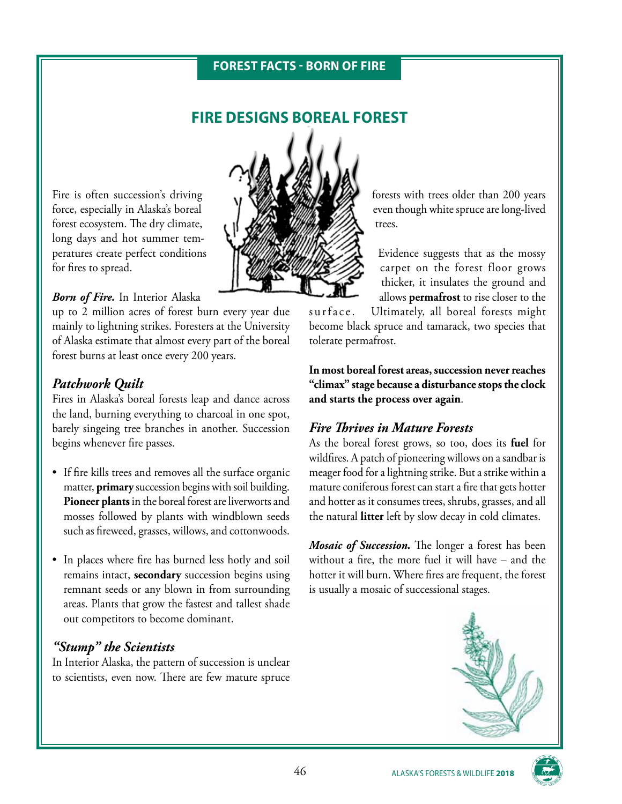#### **FOREST FACTS - BORN OF FIRE**

### **FIRE DESIGNS BOREAL FOREST**

Fire is often succession's driving force, especially in Alaska's boreal forest ecosystem. The dry climate, long days and hot summer temperatures create perfect conditions for fires to spread.

#### *Born of Fire.* In Interior Alaska

up to 2 million acres of forest burn every year due mainly to lightning strikes. Foresters at the University of Alaska estimate that almost every part of the boreal forest burns at least once every 200 years.

#### *Patchwork Quilt*

Fires in Alaska's boreal forests leap and dance across the land, burning everything to charcoal in one spot, barely singeing tree branches in another. Succession begins whenever fire passes.

- If fire kills trees and removes all the surface organic matter, **primary** succession begins with soil building. **Pioneer plants** in the boreal forest are liverworts and mosses followed by plants with windblown seeds such as fireweed, grasses, willows, and cottonwoods.
- In places where fire has burned less hotly and soil remains intact, **secondary** succession begins using remnant seeds or any blown in from surrounding areas. Plants that grow the fastest and tallest shade out competitors to become dominant.

#### *"Stump" the Scientists*

In Interior Alaska, the pattern of succession is unclear to scientists, even now. There are few mature spruce



forests with trees older than 200 years even though white spruce are long-lived trees.

Evidence suggests that as the mossy carpet on the forest floor grows thicker, it insulates the ground and allows **permafrost** to rise closer to the

surface. Ultimately, all boreal forests might become black spruce and tamarack, two species that tolerate permafrost.

**In most boreal forest areas, succession never reaches "climax" stage because a disturbance stops the clock and starts the process over again**.

#### *Fire Thrives in Mature Forests*

As the boreal forest grows, so too, does its **fuel** for wildfires. A patch of pioneering willows on a sandbar is meager food for a lightning strike. But a strike within a mature coniferous forest can start a fire that gets hotter and hotter as it consumes trees, shrubs, grasses, and all the natural **litter** left by slow decay in cold climates.

*Mosaic of Succession.* The longer a forest has been without a fire, the more fuel it will have – and the hotter it will burn. Where fires are frequent, the forest is usually a mosaic of successional stages.



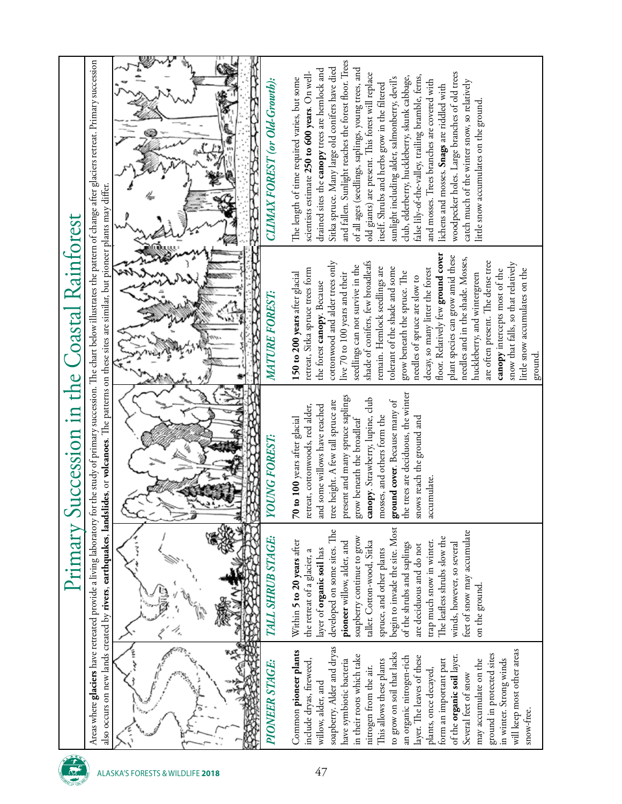| Succession in the Coastal Rainforest<br>Primary | Areas where <b>glaciers</b> have retreated provide a living laboratory for the study of primary succession. The chart below illustrates the pattern of change after glaciers retreat. Primary succession | and fallen. Sunlight reaches the forest floor. Trees<br>Sitka spruce. Many large old conifers have died<br>drained sites the <b>canopy</b> trees are hemlock and<br>of all ages (seedlings, saplings, young trees, and<br>scientists estimate 250 to 600 years. On well-<br>woodpecker holes. Large branches of old trees<br>old giants) are present. This forest will replace<br>false lily-of-the-valley, trailing bramble, ferns,<br>club, elderberry, huckleberry, skunk cabbage,<br>sunlight including alder, salmonberry, devil's<br>The length of time required varies, but some<br>CLIMAX FOREST (or Old-Growth):<br>and mosses. Trees branches are covered with<br>catch much of the winter snow, so relatively<br>itself. Shrubs and herbs grow in the filtered<br>lichens and mosses. Snags are riddled with<br>little snow accumulates on the ground<br>i<br>V |
|-------------------------------------------------|----------------------------------------------------------------------------------------------------------------------------------------------------------------------------------------------------------|----------------------------------------------------------------------------------------------------------------------------------------------------------------------------------------------------------------------------------------------------------------------------------------------------------------------------------------------------------------------------------------------------------------------------------------------------------------------------------------------------------------------------------------------------------------------------------------------------------------------------------------------------------------------------------------------------------------------------------------------------------------------------------------------------------------------------------------------------------------------------|
|                                                 | also occurs on new lands created by <b>rivers, earthquakes, landslides</b> , or <b>volcanoes</b> . The patterns on these sites are similar, but pioneer plants may differ.                               | floor. Relatively few ground cover<br>plant species can grow amid these<br>needles and in the shade. Mosses,<br>shade of conifers, few broadleafs<br>are often present. The dense tree<br>cottonwood and alder trees only<br>snow that falls, so that relatively<br>seedlings can not survive in the<br>remain. Hemlock seedlings are<br>tolerant of the shade and some<br>decay, so many litter the forest<br>retreat, Sitka spruce trees form<br>little snow accumulates on the<br>canopy intercepts most of the<br>grow beneath the spruce. The<br>150 to 200 years after glacial<br>live 70 to 100 years and their<br>huckleberry, and wintergreen<br>needles of spruce are slow to<br>the forest <b>canopy</b> . Because<br>MATURE FOREST:<br>ground.<br>R                                                                                                            |
|                                                 |                                                                                                                                                                                                          | the trees are deciduous, the winter<br>present and many spruce saplings<br>canopy. Strawberry, lupine, club<br>ground cover. Because many of<br>tree height. A few tall spruce are<br>retreat, cottonwoods, red alder,<br>and some willows have reached<br>mosses, and others form the<br>snows reach the ground and<br>70 to 100 years after glacial<br>grow beneath the broadleaf<br><b>YOUNG FOREST:</b><br>accumulate.                                                                                                                                                                                                                                                                                                                                                                                                                                                 |
|                                                 |                                                                                                                                                                                                          | begin to invade the site. Most<br>developed on some sites. The<br>feet of snow may accumulate<br>The leafless shrubs slow the<br>soapberry continue to grow<br><b>TALL SHRUB STAGE:</b><br>Within 5 to 20 years after<br>trap much snow in winter.<br>taller. Cotton-wood, Sitka<br>pioneer willow, alder, and<br>winds, however, so several<br>of the shrubs and saplings<br>are deciduous and do not<br>layer of organic soil has<br>spruce, and other plants<br>the retreat of a glacier, a<br>on the ground.                                                                                                                                                                                                                                                                                                                                                           |
|                                                 |                                                                                                                                                                                                          | soapberry. Alder and dryas<br>will keep most other areas<br>Common pioneer plants<br>to grow on soil that lacks<br>ground in protected sites<br>in their roots which take<br>of the organic soil layer.<br>an organic nitrogen-rich<br>layer. The leaves of these<br>form an important part<br>in winter. Strong winds<br>include dryas, fireweed,<br>This allows these plants<br>may accumulate on the<br>have symbiotic bacteria<br>PIONEER STAGE:<br>nitrogen from the air.<br>plants, once decayed,<br>Several feet of snow<br>willow, alder, and<br>snow-free.                                                                                                                                                                                                                                                                                                        |
|                                                 |                                                                                                                                                                                                          | 47<br>ALASKA'S FORESTS & WILDLIFE 2018                                                                                                                                                                                                                                                                                                                                                                                                                                                                                                                                                                                                                                                                                                                                                                                                                                     |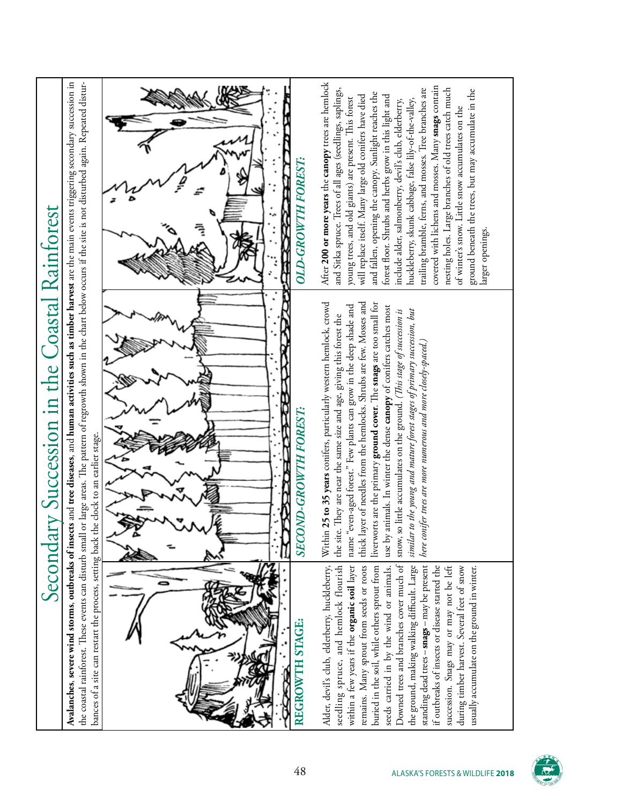| Secondary Succession in the Coastal Rainforest | Avalanches, severe wind storms, outbreaks of insects and tree diseases, and human activities such as timber harvest are the main events triggering secondary succession in<br>the coastal rainforest. These events can disturb small or large areas. The pattern of regrowth shown in the chart below occurs if the site is not disturbed again. Repeated distur- | After 200 or more years the canopy trees are hemlock<br>covered with lichens and mosses. Many snags contain<br>and Sitka spruce. Trees of all ages (seedlings, saplings,<br>trailing bramble, ferns, and mosses. Tree branches are<br>nesting holes. Large branches of old trees catch much<br>ground beneath the trees, but may accumulate in the<br>and fallen, opening the canopy. Sunlight reaches the<br>will replace itself. Many large old conifers have died<br>forest floor. Shrubs and herbs grow in this light and<br>young trees, and old giants) are present. This forest<br>huckleberry, skunk cabbage, false lily-of-the-valley,<br>include alder, salmonberry, devil's club, elderberry,<br>of winter's snow. Little snow accumulates on the<br><b>OLD-GROWTH FOREST:</b><br>larger openings. |
|------------------------------------------------|-------------------------------------------------------------------------------------------------------------------------------------------------------------------------------------------------------------------------------------------------------------------------------------------------------------------------------------------------------------------|---------------------------------------------------------------------------------------------------------------------------------------------------------------------------------------------------------------------------------------------------------------------------------------------------------------------------------------------------------------------------------------------------------------------------------------------------------------------------------------------------------------------------------------------------------------------------------------------------------------------------------------------------------------------------------------------------------------------------------------------------------------------------------------------------------------|
|                                                |                                                                                                                                                                                                                                                                                                                                                                   | thick layer of needles from the hemlocks. Shrubs are few. Mosses and<br>liverworts are the primary ground cover. The snags are too small for<br>Within 25 to 35 years conifers, particularly western hemlock, crowd<br>even-aged forest." Few plants can grow in the deep shade and<br>use by animals. In winter the dense canopy of conifers catches most<br>to the young and mature forest stages of primary succession, but<br>snow, so little accumulates on the ground. (This stage of succession is<br>the site. They are near the same size and age, giving this forest the<br>nifer trees are more numerous and more closely-spaced.,<br>8<br>R<br><b>SECOND-GROWTH FOREST:</b><br><b>RASSES</b><br>name "<br>similar<br>here con                                                                     |
|                                                | bances of a site can restart the process, setting back the clock to an earlier stage.                                                                                                                                                                                                                                                                             | Downed trees and branches cover much of<br>standing dead trees - snags - may be present<br>the ground, making walking difficult. Large<br>remains. Many sprout from seeds or roots<br>Alder, devil's club, elderberry, huckleberry,<br>seedling spruce, and hemlock flourish<br>within a few years if the organic soil layer<br>buried in the soil, while others sprout from<br>seeds carried in by the wind or animals.<br>if outbreaks of insects or disease started the<br>succession. Snags may or may not be left<br>during timber harvest. Several feet of snow<br>usually accumulate on the ground in winter.<br>REGROWTH STAGE:                                                                                                                                                                       |

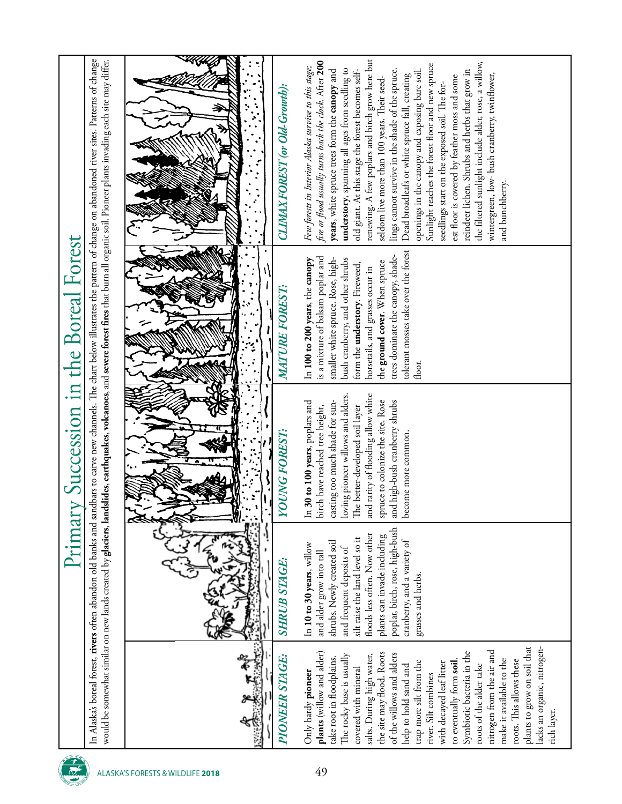| y Succession in the Boreal Forest<br>Primar | In Alaska's boreal forest, <b>rivers</b> often abandon old banks and sandbars to carve new channels. The chart below illustrates the pattern of change on abandoned river sites. Patterns of change<br>would be somewhat similar on new lands created by <b>glaciers, landslides, earthquakes, volcanoes,</b> and <b>severe forest fires</b> that burn all organic soil. Pioneer plants invading each site may differ. | renewing. A few poplars and birch grow here but<br>fire or flood usually turns back the clock. After 200<br>the filtered sunlight include alder, rose, a willow,<br>Sunlight reaches the forest floor and new spruce<br>Few forests in Interior Alaska survive to this stage;<br>understory, spanning all ages from seedling to<br>lings cannot survive in the shade of the spruce.<br>reindeer lichen. Shrubs and herbs that grow in<br>years, white spruce trees form the canopy and<br>old giant. At this stage the forest becomes self-<br>openings in the canopy and exposing bare soil.<br>wintergreen, low- bush cranberry, twinflower,<br>Dead broadleafs or white spruce fall, creating<br>est floor is covered by feather moss and some<br>seldom live more than 100 years. Their seed-<br>seedlings start on the exposed soil. The for-<br>CLIMAX FOREST (or Old-Growth):<br>and bunchberry. |
|---------------------------------------------|------------------------------------------------------------------------------------------------------------------------------------------------------------------------------------------------------------------------------------------------------------------------------------------------------------------------------------------------------------------------------------------------------------------------|---------------------------------------------------------------------------------------------------------------------------------------------------------------------------------------------------------------------------------------------------------------------------------------------------------------------------------------------------------------------------------------------------------------------------------------------------------------------------------------------------------------------------------------------------------------------------------------------------------------------------------------------------------------------------------------------------------------------------------------------------------------------------------------------------------------------------------------------------------------------------------------------------------|
|                                             |                                                                                                                                                                                                                                                                                                                                                                                                                        | tolerant mosses take over the forest<br>trees dominate the canopy, shade-<br>is a mixture of balsam poplar and<br>smaller white spruce. Rose, high-<br>bush cranberry, and other shrubs<br>In 100 to 200 years, the canopy<br>the ground cover. When spruce<br>form the <b>understory</b> . Fireweed,<br>horsetails, and grasses occur in<br><b>MATURE FOREST:</b><br>floor.                                                                                                                                                                                                                                                                                                                                                                                                                                                                                                                            |
|                                             |                                                                                                                                                                                                                                                                                                                                                                                                                        | loving pioneer willows and alders.<br>and rarity of flooding allow white<br>30 to 100 years, poplars and<br>casting too much shade for sun-<br>spruce to colonize the site. Rose<br>and high-bush cranberry shrubs<br>birch have reached tree height,<br>The better-developed soil layer<br><b>YOUNG FOREST:</b><br>become more common.<br>$\Xi$                                                                                                                                                                                                                                                                                                                                                                                                                                                                                                                                                        |
|                                             |                                                                                                                                                                                                                                                                                                                                                                                                                        | poplar, birch, rose, high-bush<br>floods less often. Now other<br>plants can invade including<br>silt raise the land level so it<br>cranberry, and a variety of<br>shrubs. Newly created soil<br>In 10 to 30 years, willow<br>and frequent deposits of<br>and alder grow into tall<br><b>SHRUB STAGE:</b><br>grasses and herbs.                                                                                                                                                                                                                                                                                                                                                                                                                                                                                                                                                                         |
|                                             |                                                                                                                                                                                                                                                                                                                                                                                                                        | plants to grow on soil that<br>lacks an organic, nitrogen-<br>nitrogen from the air and<br>Symbiotic bacteria in the<br>plants (willow and alder)<br>the site may flood. Roots<br>of the willows and alders<br>The rocky base is usually<br>salts. During high water,<br><b>PIONEER STAGE:</b><br>take root in floodplains.<br>make it available to the<br>roots. This allows these<br>trap more silt from the<br>to eventually form soil<br>with decayed leaf litter<br>roots of the alder take<br>help to hold sand and<br>covered with mineral<br>Only hardy pioneer<br>river. Silt combines<br>rich layer.                                                                                                                                                                                                                                                                                          |
|                                             |                                                                                                                                                                                                                                                                                                                                                                                                                        | 49<br>ALASKA'S FORESTS & WILDLIFE 2018                                                                                                                                                                                                                                                                                                                                                                                                                                                                                                                                                                                                                                                                                                                                                                                                                                                                  |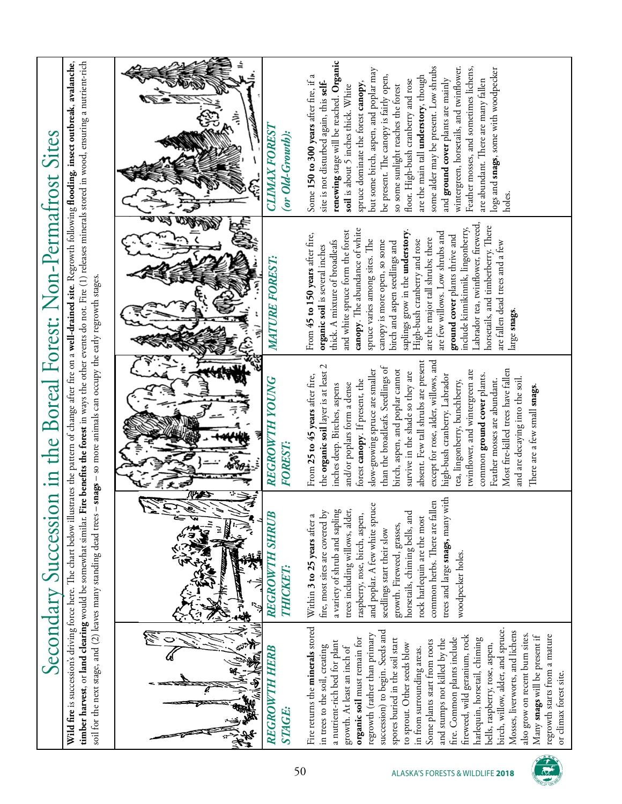| timber harvest, or land clearing would be somewhat similar. Fire benefits the forest in ways the other events do not. Fire (1) releases minerals stored in wood, ensuring a nutrient-rich<br>Wild fire is successions driving force here. The chart below illustrates the pattern of change after fire on a well-drained site. Regrowth following flooding, insect outbreak, avalanche, | renewing stage will be reached. Organic<br>some alder may be present. Low shrubs<br>wintergreen, horsetails, and twinflower.<br>Feather mosses, and sometimes lichens,<br>but some birch, aspen, and poplar may<br>logs and snags, some with woodpecker<br>Some 150 to 300 years after fire, if a<br>be present. The canopy is fairly open,<br>are the main tall understory, though<br>are abundant. There are many fallen<br>floor. High-bush cranberry and rose<br>and <b>ground cover</b> plants are mainly<br>site is not disturbed again, this self-<br>spruce dominate the forest canopy,<br>so some sunlight reaches the forest<br>soil is about 5 inches thick. White<br>جً<br><b>CLIMAX FOREST</b><br>(or Old-Growth):<br>holes.                                   |
|-----------------------------------------------------------------------------------------------------------------------------------------------------------------------------------------------------------------------------------------------------------------------------------------------------------------------------------------------------------------------------------------|-----------------------------------------------------------------------------------------------------------------------------------------------------------------------------------------------------------------------------------------------------------------------------------------------------------------------------------------------------------------------------------------------------------------------------------------------------------------------------------------------------------------------------------------------------------------------------------------------------------------------------------------------------------------------------------------------------------------------------------------------------------------------------|
| Secondary Succession in the Boreal Forest: Non-Permatrost Sites                                                                                                                                                                                                                                                                                                                         | Labrador tea, twinflower, fireweed,<br>horsetails, and timberberry. There<br>include kinnikinnik, lingonberry,<br>canopy. The abundance of white<br>and white spruce form the forest<br>saplings grow in the <b>understory</b> .<br>are few willows. Low shrubs and<br>From 45 to 150 years after fire,<br>ground cover plants thrive and<br>are the major tall shrubs; there<br>spruce varies among sites. The<br>High-bush cranberry and rose<br>canopy is more open, so some<br>thick. A mixture of broadleafs<br>are fallen dead trees and a few<br>birch and aspen seedlings and<br>organic soil is several inches<br>MATURE FOREST:<br>large snags<br>Ξ                                                                                                               |
| snags - so more animals can occupy the early regrowth stages.                                                                                                                                                                                                                                                                                                                           | absent. Few tall shrubs are present<br>except for rose, alder, willows, and<br>the organic soil layer is at least 2<br>than the broadleafs. Seedlings of<br>slow-growing spruce are smaller<br>birch, aspen, and poplar cannot<br>Most fire-killed trees have fallen<br>twinflower, and wintergreen are<br>survive in the shade so they are<br>high-bush cranberry. Labrador<br>common ground cover plants.<br>From 25 to 45 years after fire,<br><b>REGROWTH YOUNG</b><br>and are decaying into the soil<br>forest canopy. If present, the<br>Feather mosses are abundant.<br>tea, lingonberry, bunchberry,<br>and/or poplars form a dense<br>inches deep. Birches, aspens<br>There are a few small snags<br>FOREST:                                                       |
|                                                                                                                                                                                                                                                                                                                                                                                         | trees and large snags, many with<br>common herbs. There are fallen<br>پهِ<br>fire, most sites are covered by<br>a variety of shrub and sapling<br>trees including willows, alder,<br>and poplar. A few white spruc<br>horsetails, chiming bells, and<br><b>REGROWTH SHRUB</b><br>raspberry, rose, birch, aspen,<br>Within 3 to 25 years after a<br>rock harlequin are the most<br>growth. Fireweed, grasses,<br>seedlings start their slow<br>woodpecker holes.<br><b>THICKET:</b>                                                                                                                                                                                                                                                                                          |
| soil for the next stage, and (2) leaves many standing dead trees -                                                                                                                                                                                                                                                                                                                      | Fire returns the minerals stored<br>birch, willow, alder, and spruce.<br>succession) to begin. Seeds and<br>Mosses, liverworts, and lichens<br>regrowth (rather than primary<br>also grow on recent burn sites.<br>fireweed, wild geranium, rock<br>regrowth starts from a mature<br>Many snags will be present if<br>organic soil must remain for<br>fire. Common plants include<br>and stumps not killed by the<br>harlequin, horsetail, chiming<br>spores buried in the soil start<br>Some plants start from roots<br>a nutrient-rich bed for plant<br>to sprout. Other seeds blow<br>bells, raspberry, rose, aspen,<br>in trees to the soil, creating<br>growth. At least an inch of<br>REGROWTH HERB<br>in from surrounding areas.<br>or climax forest site.<br>STAGE: |